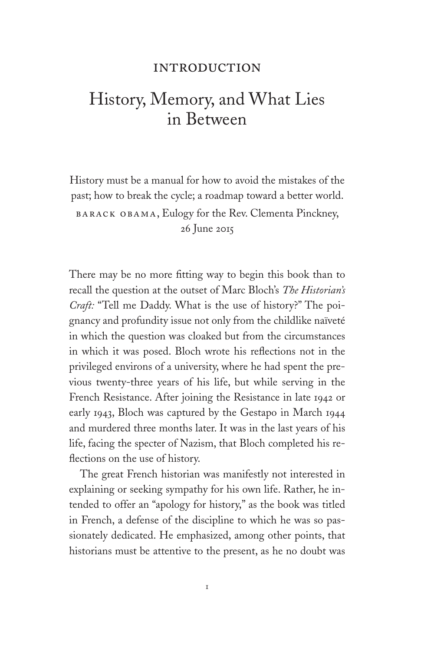#### **INTRODUCTION**

## History, Memory, and What Lies in Between

History must be a manual for how to avoid the mistakes of the past; how to break the cycle; a roadmap toward a better world.

barack obama, Eulogy for the Rev. Clementa Pinckney, 26 June 2015

There may be no more fitting way to begin this book than to recall the question at the outset of Marc Bloch's *The Historian's Craft:* "Tell me Daddy. What is the use of history?" The poignancy and profundity issue not only from the childlike naïveté in which the question was cloaked but from the circumstances in which it was posed. Bloch wrote his reflections not in the privileged environs of a university, where he had spent the previous twenty-three years of his life, but while serving in the French Resistance. After joining the Resistance in late 1942 or early 1943, Bloch was captured by the Gestapo in March 1944 and murdered three months later. It was in the last years of his life, facing the specter of Nazism, that Bloch completed his reflections on the use of history.

The great French historian was manifestly not interested in explaining or seeking sympathy for his own life. Rather, he intended to offer an "apology for history," as the book was titled in French, a defense of the discipline to which he was so passionately dedicated. He emphasized, among other points, that historians must be attentive to the present, as he no doubt was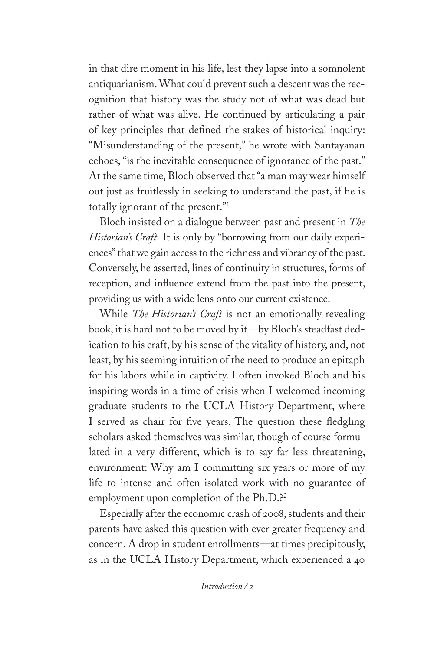in that dire moment in his life, lest they lapse into a somnolent antiquarianism. What could prevent such a descent was the recognition that history was the study not of what was dead but rather of what was alive. He continued by articulating a pair of key principles that defined the stakes of historical inquiry: "Misunderstanding of the present," he wrote with Santayanan echoes, "is the inevitable consequence of ignorance of the past." At the same time, Bloch observed that "a man may wear himself out just as fruitlessly in seeking to understand the past, if he is totally ignorant of the present."1

Bloch insisted on a dialogue between past and present in *The Historian's Craft.* It is only by "borrowing from our daily experiences" that we gain access to the richness and vibrancy of the past. Conversely, he asserted, lines of continuity in structures, forms of reception, and influence extend from the past into the present, providing us with a wide lens onto our current existence.

While *The Historian's Craft* is not an emotionally revealing book, it is hard not to be moved by it—by Bloch's steadfast dedication to his craft, by his sense of the vitality of history, and, not least, by his seeming intuition of the need to produce an epitaph for his labors while in captivity. I often invoked Bloch and his inspiring words in a time of crisis when I welcomed incoming graduate students to the UCLA History Department, where I served as chair for five years. The question these fledgling scholars asked themselves was similar, though of course formulated in a very different, which is to say far less threatening, environment: Why am I committing six years or more of my life to intense and often isolated work with no guarantee of employment upon completion of the Ph.D.?<sup>2</sup>

Especially after the economic crash of 2008, students and their parents have asked this question with ever greater frequency and concern. A drop in student enrollments—at times precipitously, as in the UCLA History Department, which experienced a 40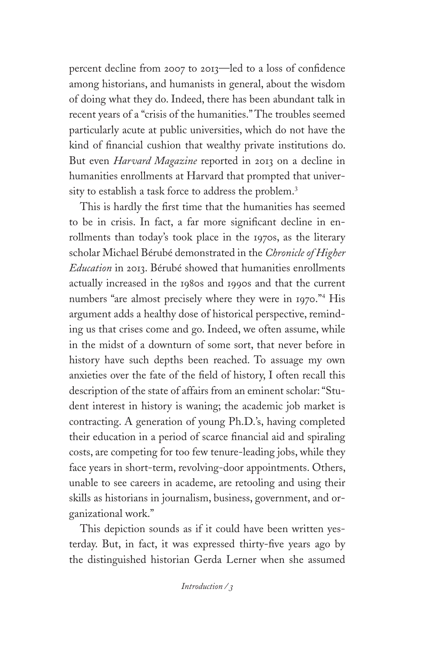percent decline from 2007 to 2013—led to a loss of confidence among historians, and humanists in general, about the wisdom of doing what they do. Indeed, there has been abundant talk in recent years of a "crisis of the humanities." The troubles seemed particularly acute at public universities, which do not have the kind of financial cushion that wealthy private institutions do. But even *Harvard Magazine* reported in 2013 on a decline in humanities enrollments at Harvard that prompted that university to establish a task force to address the problem.<sup>3</sup>

This is hardly the first time that the humanities has seemed to be in crisis. In fact, a far more significant decline in enrollments than today's took place in the 1970s, as the literary scholar Michael Bérubé demonstrated in the *Chronicle of Higher Education* in 2013. Bérubé showed that humanities enrollments actually increased in the 1980s and 1990s and that the current numbers "are almost precisely where they were in 1970."4 His argument adds a healthy dose of historical perspective, reminding us that crises come and go. Indeed, we often assume, while in the midst of a downturn of some sort, that never before in history have such depths been reached. To assuage my own anxieties over the fate of the field of history, I often recall this description of the state of affairs from an eminent scholar: "Student interest in history is waning; the academic job market is contracting. A generation of young Ph.D.'s, having completed their education in a period of scarce financial aid and spiraling costs, are competing for too few tenure-leading jobs, while they face years in short-term, revolving-door appointments. Others, unable to see careers in academe, are retooling and using their skills as historians in journalism, business, government, and organizational work."

This depiction sounds as if it could have been written yesterday. But, in fact, it was expressed thirty-five years ago by the distinguished historian Gerda Lerner when she assumed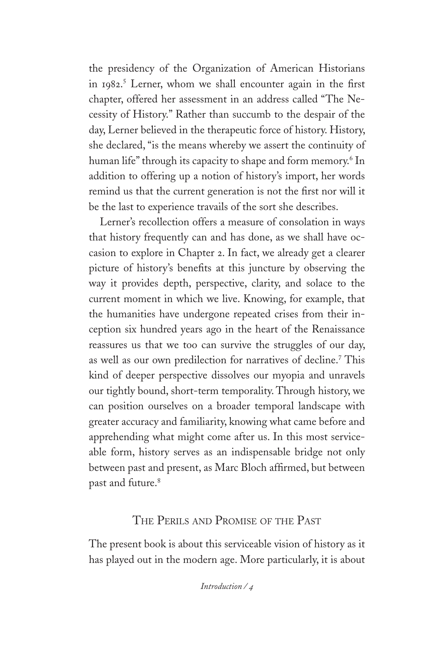the presidency of the Organization of American Historians in 1982. 5 Lerner, whom we shall encounter again in the first chapter, offered her assessment in an address called "The Necessity of History." Rather than succumb to the despair of the day, Lerner believed in the therapeutic force of history. History, she declared, "is the means whereby we assert the continuity of human life" through its capacity to shape and form memory.<sup>6</sup> In addition to offering up a notion of history's import, her words remind us that the current generation is not the first nor will it be the last to experience travails of the sort she describes.

Lerner's recollection offers a measure of consolation in ways that history frequently can and has done, as we shall have occasion to explore in Chapter 2. In fact, we already get a clearer picture of history's benefits at this juncture by observing the way it provides depth, perspective, clarity, and solace to the current moment in which we live. Knowing, for example, that the humanities have undergone repeated crises from their inception six hundred years ago in the heart of the Renaissance reassures us that we too can survive the struggles of our day, as well as our own predilection for narratives of decline.7 This kind of deeper perspective dissolves our myopia and unravels our tightly bound, short-term temporality. Through history, we can position ourselves on a broader temporal landscape with greater accuracy and familiarity, knowing what came before and apprehending what might come after us. In this most serviceable form, history serves as an indispensable bridge not only between past and present, as Marc Bloch affirmed, but between past and future.<sup>8</sup>

### The Perils and Promise of the Past

The present book is about this serviceable vision of history as it has played out in the modern age. More particularly, it is about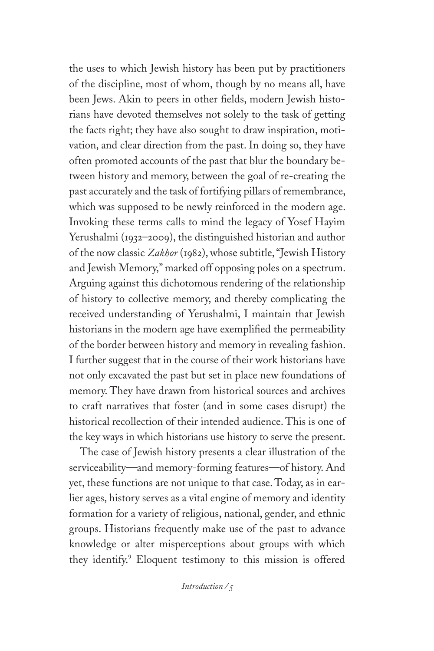the uses to which Jewish history has been put by practitioners of the discipline, most of whom, though by no means all, have been Jews. Akin to peers in other fields, modern Jewish historians have devoted themselves not solely to the task of getting the facts right; they have also sought to draw inspiration, motivation, and clear direction from the past. In doing so, they have often promoted accounts of the past that blur the boundary between history and memory, between the goal of re-creating the past accurately and the task of fortifying pillars of remembrance, which was supposed to be newly reinforced in the modern age. Invoking these terms calls to mind the legacy of Yosef Hayim Yerushalmi (1932–2009), the distinguished historian and author of the now classic *Zakhor* (1982), whose subtitle, "Jewish History and Jewish Memory," marked off opposing poles on a spectrum. Arguing against this dichotomous rendering of the relationship of history to collective memory, and thereby complicating the received understanding of Yerushalmi, I maintain that Jewish historians in the modern age have exemplified the permeability of the border between history and memory in revealing fashion. I further suggest that in the course of their work historians have not only excavated the past but set in place new foundations of memory. They have drawn from historical sources and archives to craft narratives that foster (and in some cases disrupt) the historical recollection of their intended audience. This is one of the key ways in which historians use history to serve the present.

The case of Jewish history presents a clear illustration of the serviceability—and memory-forming features—of history. And yet, these functions are not unique to that case. Today, as in earlier ages, history serves as a vital engine of memory and identity formation for a variety of religious, national, gender, and ethnic groups. Historians frequently make use of the past to advance knowledge or alter misperceptions about groups with which they identify.9 Eloquent testimony to this mission is offered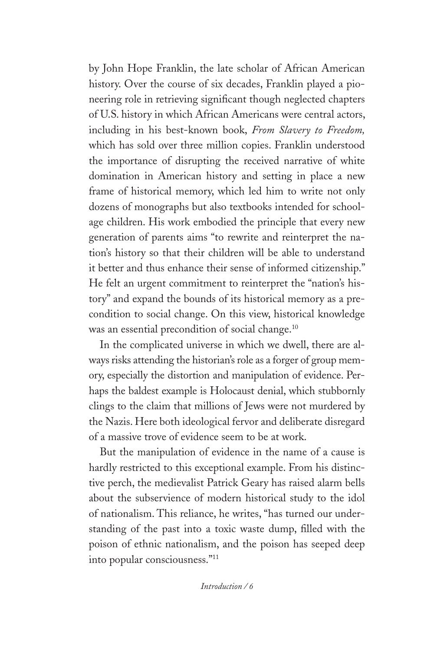by John Hope Franklin, the late scholar of African American history. Over the course of six decades, Franklin played a pioneering role in retrieving significant though neglected chapters of U.S. history in which African Americans were central actors, including in his best-known book, *From Slavery to Freedom,* which has sold over three million copies. Franklin understood the importance of disrupting the received narrative of white domination in American history and setting in place a new frame of historical memory, which led him to write not only dozens of monographs but also textbooks intended for schoolage children. His work embodied the principle that every new generation of parents aims "to rewrite and reinterpret the nation's history so that their children will be able to understand it better and thus enhance their sense of informed citizenship." He felt an urgent commitment to reinterpret the "nation's history" and expand the bounds of its historical memory as a precondition to social change. On this view, historical knowledge was an essential precondition of social change.<sup>10</sup>

In the complicated universe in which we dwell, there are always risks attending the historian's role as a forger of group memory, especially the distortion and manipulation of evidence. Perhaps the baldest example is Holocaust denial, which stubbornly clings to the claim that millions of Jews were not murdered by the Nazis. Here both ideological fervor and deliberate disregard of a massive trove of evidence seem to be at work.

But the manipulation of evidence in the name of a cause is hardly restricted to this exceptional example. From his distinctive perch, the medievalist Patrick Geary has raised alarm bells about the subservience of modern historical study to the idol of nationalism. This reliance, he writes, "has turned our understanding of the past into a toxic waste dump, filled with the poison of ethnic nationalism, and the poison has seeped deep into popular consciousness."11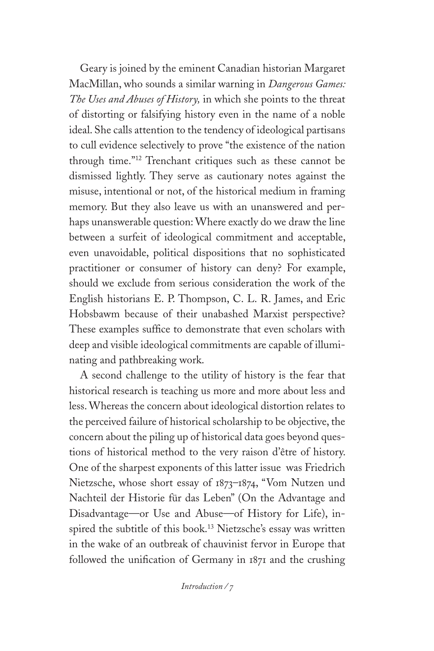Geary is joined by the eminent Canadian historian Margaret MacMillan, who sounds a similar warning in *Dangerous Games: The Uses and Abuses of History,* in which she points to the threat of distorting or falsifying history even in the name of a noble ideal. She calls attention to the tendency of ideological partisans to cull evidence selectively to prove "the existence of the nation through time."12 Trenchant critiques such as these cannot be dismissed lightly. They serve as cautionary notes against the misuse, intentional or not, of the historical medium in framing memory. But they also leave us with an unanswered and perhaps unanswerable question: Where exactly do we draw the line between a surfeit of ideological commitment and acceptable, even unavoidable, political dispositions that no sophisticated practitioner or consumer of history can deny? For example, should we exclude from serious consideration the work of the English historians E. P. Thompson, C. L. R. James, and Eric Hobsbawm because of their unabashed Marxist perspective? These examples suffice to demonstrate that even scholars with deep and visible ideological commitments are capable of illuminating and pathbreaking work.

A second challenge to the utility of history is the fear that historical research is teaching us more and more about less and less. Whereas the concern about ideological distortion relates to the perceived failure of historical scholarship to be objective, the concern about the piling up of historical data goes beyond questions of historical method to the very raison d'être of history. One of the sharpest exponents of this latter issue was Friedrich Nietzsche, whose short essay of 1873–1874, "Vom Nutzen und Nachteil der Historie für das Leben" (On the Advantage and Disadvantage—or Use and Abuse—of History for Life), inspired the subtitle of this book.13 Nietzsche's essay was written in the wake of an outbreak of chauvinist fervor in Europe that followed the unification of Germany in 1871 and the crushing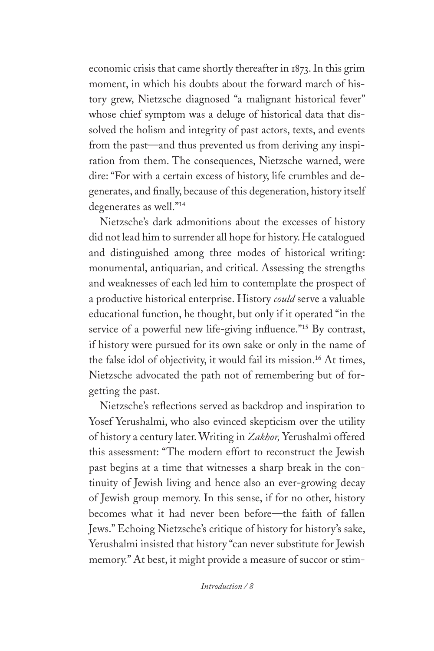economic crisis that came shortly thereafter in 1873. In this grim moment, in which his doubts about the forward march of history grew, Nietzsche diagnosed "a malignant historical fever" whose chief symptom was a deluge of historical data that dissolved the holism and integrity of past actors, texts, and events from the past—and thus prevented us from deriving any inspiration from them. The consequences, Nietzsche warned, were dire: "For with a certain excess of history, life crumbles and degenerates, and finally, because of this degeneration, history itself degenerates as well."14

Nietzsche's dark admonitions about the excesses of history did not lead him to surrender all hope for history. He catalogued and distinguished among three modes of historical writing: monumental, antiquarian, and critical. Assessing the strengths and weaknesses of each led him to contemplate the prospect of a productive historical enterprise. History *could* serve a valuable educational function, he thought, but only if it operated "in the service of a powerful new life-giving influence."<sup>15</sup> By contrast, if history were pursued for its own sake or only in the name of the false idol of objectivity, it would fail its mission.16 At times, Nietzsche advocated the path not of remembering but of forgetting the past.

Nietzsche's reflections served as backdrop and inspiration to Yosef Yerushalmi, who also evinced skepticism over the utility of history a century later. Writing in *Zakhor,* Yerushalmi offered this assessment: "The modern effort to reconstruct the Jewish past begins at a time that witnesses a sharp break in the continuity of Jewish living and hence also an ever-growing decay of Jewish group memory. In this sense, if for no other, history becomes what it had never been before—the faith of fallen Jews." Echoing Nietzsche's critique of history for history's sake, Yerushalmi insisted that history "can never substitute for Jewish memory." At best, it might provide a measure of succor or stim-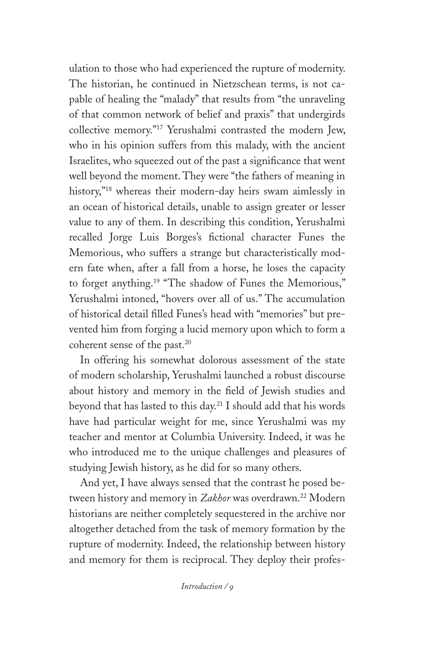ulation to those who had experienced the rupture of modernity. The historian, he continued in Nietzschean terms, is not capable of healing the "malady" that results from "the unraveling of that common network of belief and praxis" that undergirds collective memory."17 Yerushalmi contrasted the modern Jew, who in his opinion suffers from this malady, with the ancient Israelites, who squeezed out of the past a significance that went well beyond the moment. They were "the fathers of meaning in history,"18 whereas their modern-day heirs swam aimlessly in an ocean of historical details, unable to assign greater or lesser value to any of them. In describing this condition, Yerushalmi recalled Jorge Luis Borges's fictional character Funes the Memorious, who suffers a strange but characteristically modern fate when, after a fall from a horse, he loses the capacity to forget anything.<sup>19</sup> "The shadow of Funes the Memorious," Yerushalmi intoned, "hovers over all of us." The accumulation of historical detail filled Funes's head with "memories" but prevented him from forging a lucid memory upon which to form a coherent sense of the past.<sup>20</sup>

In offering his somewhat dolorous assessment of the state of modern scholarship, Yerushalmi launched a robust discourse about history and memory in the field of Jewish studies and beyond that has lasted to this day.21 I should add that his words have had particular weight for me, since Yerushalmi was my teacher and mentor at Columbia University. Indeed, it was he who introduced me to the unique challenges and pleasures of studying Jewish history, as he did for so many others.

And yet, I have always sensed that the contrast he posed between history and memory in *Zakhor* was overdrawn.<sup>22</sup> Modern historians are neither completely sequestered in the archive nor altogether detached from the task of memory formation by the rupture of modernity. Indeed, the relationship between history and memory for them is reciprocal. They deploy their profes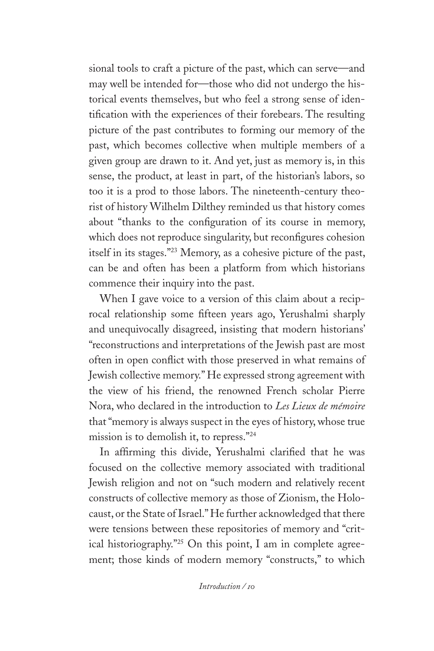sional tools to craft a picture of the past, which can serve—and may well be intended for—those who did not undergo the historical events themselves, but who feel a strong sense of identification with the experiences of their forebears. The resulting picture of the past contributes to forming our memory of the past, which becomes collective when multiple members of a given group are drawn to it. And yet, just as memory is, in this sense, the product, at least in part, of the historian's labors, so too it is a prod to those labors. The nineteenth-century theorist of history Wilhelm Dilthey reminded us that history comes about "thanks to the configuration of its course in memory, which does not reproduce singularity, but reconfigures cohesion itself in its stages."23 Memory, as a cohesive picture of the past, can be and often has been a platform from which historians commence their inquiry into the past.

When I gave voice to a version of this claim about a reciprocal relationship some fifteen years ago, Yerushalmi sharply and unequivocally disagreed, insisting that modern historians' "reconstructions and interpretations of the Jewish past are most often in open conflict with those preserved in what remains of Jewish collective memory." He expressed strong agreement with the view of his friend, the renowned French scholar Pierre Nora, who declared in the introduction to *Les Lieux de mémoire* that "memory is always suspect in the eyes of history, whose true mission is to demolish it, to repress."24

In affirming this divide, Yerushalmi clarified that he was focused on the collective memory associated with traditional Jewish religion and not on "such modern and relatively recent constructs of collective memory as those of Zionism, the Holocaust, or the State of Israel." He further acknowledged that there were tensions between these repositories of memory and "critical historiography."25 On this point, I am in complete agreement; those kinds of modern memory "constructs," to which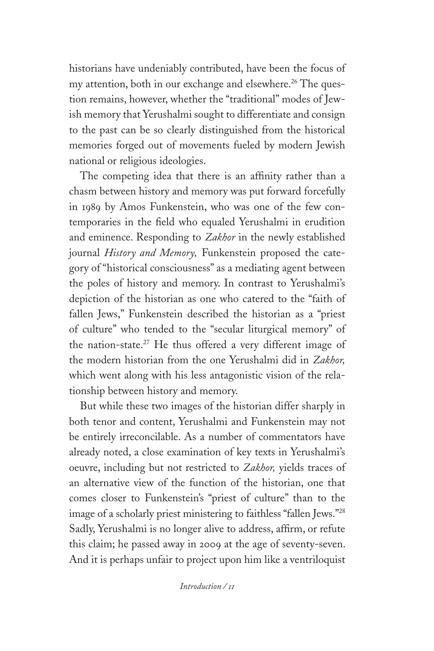historians have undeniably contributed, have been the focus of my attention, both in our exchange and elsewhere.<sup>26</sup> The question remains, however, whether the "traditional" modes of Jewish memory that Yerushalmi sought to differentiate and consign to the past can be so clearly distinguished from the historical memories forged out of movements fueled by modern Jewish national or religious ideologies.

The competing idea that there is an affinity rather than a chasm between history and memory was put forward forcefully in 1989 by Amos Funkenstein, who was one of the few contemporaries in the field who equaled Yerushalmi in erudition and eminence. Responding to *Zakhor* in the newly established journal *History and Memory,* Funkenstein proposed the category of "historical consciousness" as a mediating agent between the poles of history and memory. In contrast to Yerushalmi's depiction of the historian as one who catered to the "faith of fallen Jews," Funkenstein described the historian as a "priest of culture" who tended to the "secular liturgical memory" of the nation-state.<sup>27</sup> He thus offered a very different image of the modern historian from the one Yerushalmi did in *Zakhor,* which went along with his less antagonistic vision of the relationship between history and memory.

But while these two images of the historian differ sharply in both tenor and content, Yerushalmi and Funkenstein may not be entirely irreconcilable. As a number of commentators have already noted, a close examination of key texts in Yerushalmi's oeuvre, including but not restricted to *Zakhor,* yields traces of an alternative view of the function of the historian, one that comes closer to Funkenstein's "priest of culture" than to the image of a scholarly priest ministering to faithless "fallen Jews."28 Sadly, Yerushalmi is no longer alive to address, affirm, or refute this claim; he passed away in 2009 at the age of seventy-seven. And it is perhaps unfair to project upon him like a ventriloquist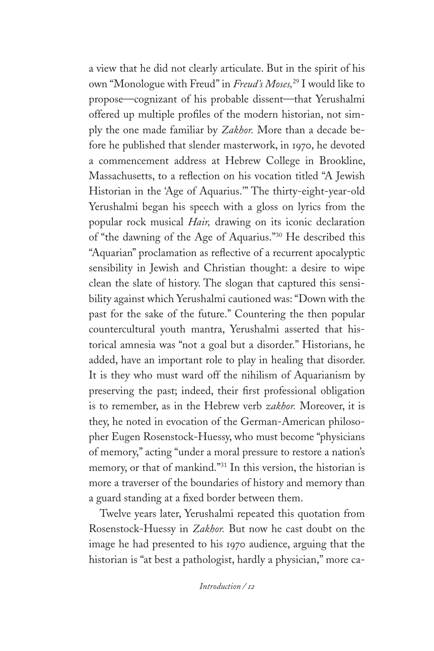a view that he did not clearly articulate. But in the spirit of his own "Monologue with Freud" in *Freud's Moses,*29 I would like to propose—cognizant of his probable dissent—that Yerushalmi offered up multiple profiles of the modern historian, not simply the one made familiar by *Zakhor.* More than a decade before he published that slender masterwork, in 1970, he devoted a commencement address at Hebrew College in Brookline, Massachusetts, to a reflection on his vocation titled "A Jewish Historian in the 'Age of Aquarius.'" The thirty-eight-year-old Yerushalmi began his speech with a gloss on lyrics from the popular rock musical *Hair,* drawing on its iconic declaration of "the dawning of the Age of Aquarius."30 He described this "Aquarian" proclamation as reflective of a recurrent apocalyptic sensibility in Jewish and Christian thought: a desire to wipe clean the slate of history. The slogan that captured this sensibility against which Yerushalmi cautioned was: "Down with the past for the sake of the future." Countering the then popular countercultural youth mantra, Yerushalmi asserted that historical amnesia was "not a goal but a disorder." Historians, he added, have an important role to play in healing that disorder. It is they who must ward off the nihilism of Aquarianism by preserving the past; indeed, their first professional obligation is to remember, as in the Hebrew verb *zakhor.* Moreover, it is they, he noted in evocation of the German-American philosopher Eugen Rosenstock-Huessy, who must become "physicians of memory," acting "under a moral pressure to restore a nation's memory, or that of mankind."31 In this version, the historian is more a traverser of the boundaries of history and memory than a guard standing at a fixed border between them.

Twelve years later, Yerushalmi repeated this quotation from Rosenstock-Huessy in *Zakhor.* But now he cast doubt on the image he had presented to his 1970 audience, arguing that the historian is "at best a pathologist, hardly a physician," more ca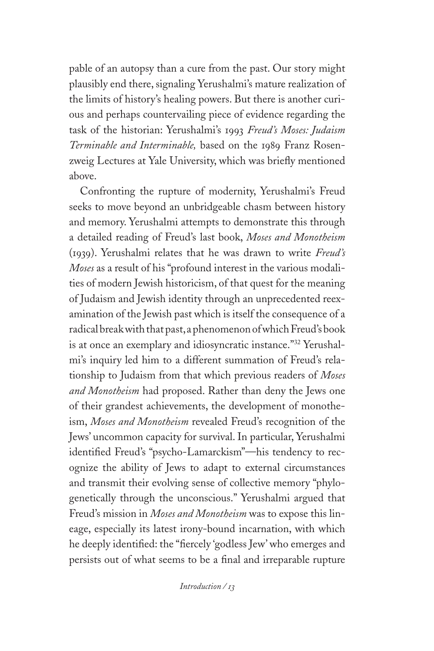pable of an autopsy than a cure from the past. Our story might plausibly end there, signaling Yerushalmi's mature realization of the limits of history's healing powers. But there is another curious and perhaps countervailing piece of evidence regarding the task of the historian: Yerushalmi's 1993 *Freud's Moses: Judaism Terminable and Interminable,* based on the 1989 Franz Rosenzweig Lectures at Yale University, which was briefly mentioned above.

Confronting the rupture of modernity, Yerushalmi's Freud seeks to move beyond an unbridgeable chasm between history and memory. Yerushalmi attempts to demonstrate this through a detailed reading of Freud's last book, *Moses and Monotheism* (1939). Yerushalmi relates that he was drawn to write *Freud's Moses* as a result of his "profound interest in the various modalities of modern Jewish historicism, of that quest for the meaning of Judaism and Jewish identity through an unprecedented reexamination of the Jewish past which is itself the consequence of a radical break with that past, a phenomenon of which Freud's book is at once an exemplary and idiosyncratic instance."32 Yerushalmi's inquiry led him to a different summation of Freud's relationship to Judaism from that which previous readers of *Moses and Monotheism* had proposed. Rather than deny the Jews one of their grandest achievements, the development of monotheism, *Moses and Monotheism* revealed Freud's recognition of the Jews' uncommon capacity for survival. In particular, Yerushalmi identified Freud's "psycho-Lamarckism"—his tendency to recognize the ability of Jews to adapt to external circumstances and transmit their evolving sense of collective memory "phylogenetically through the unconscious." Yerushalmi argued that Freud's mission in *Moses and Monotheism* was to expose this lineage, especially its latest irony-bound incarnation, with which he deeply identified: the "fiercely 'godless Jew' who emerges and persists out of what seems to be a final and irreparable rupture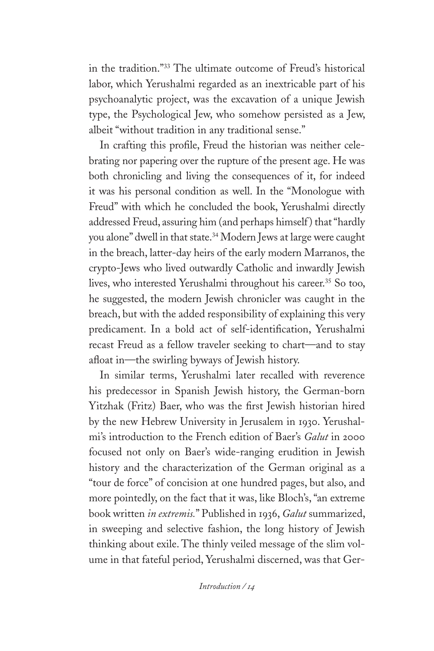in the tradition."33 The ultimate outcome of Freud's historical labor, which Yerushalmi regarded as an inextricable part of his psychoanalytic project, was the excavation of a unique Jewish type, the Psychological Jew, who somehow persisted as a Jew, albeit "without tradition in any traditional sense."

In crafting this profile, Freud the historian was neither celebrating nor papering over the rupture of the present age. He was both chronicling and living the consequences of it, for indeed it was his personal condition as well. In the "Monologue with Freud" with which he concluded the book, Yerushalmi directly addressed Freud, assuring him (and perhaps himself) that "hardly you alone" dwell in that state.34 Modern Jews at large were caught in the breach, latter-day heirs of the early modern Marranos, the crypto-Jews who lived outwardly Catholic and inwardly Jewish lives, who interested Yerushalmi throughout his career.<sup>35</sup> So too, he suggested, the modern Jewish chronicler was caught in the breach, but with the added responsibility of explaining this very predicament. In a bold act of self-identification, Yerushalmi recast Freud as a fellow traveler seeking to chart—and to stay afloat in—the swirling byways of Jewish history.

In similar terms, Yerushalmi later recalled with reverence his predecessor in Spanish Jewish history, the German-born Yitzhak (Fritz) Baer, who was the first Jewish historian hired by the new Hebrew University in Jerusalem in 1930. Yerushalmi's introduction to the French edition of Baer's *Galut* in 2000 focused not only on Baer's wide-ranging erudition in Jewish history and the characterization of the German original as a "tour de force" of concision at one hundred pages, but also, and more pointedly, on the fact that it was, like Bloch's, "an extreme book written *in extremis.*" Published in 1936, *Galut* summarized, in sweeping and selective fashion, the long history of Jewish thinking about exile. The thinly veiled message of the slim volume in that fateful period, Yerushalmi discerned, was that Ger-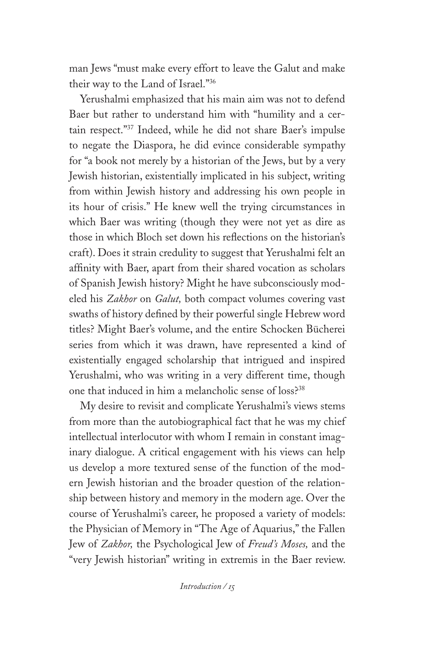man Jews "must make every effort to leave the Galut and make their way to the Land of Israel."36

Yerushalmi emphasized that his main aim was not to defend Baer but rather to understand him with "humility and a certain respect."37 Indeed, while he did not share Baer's impulse to negate the Diaspora, he did evince considerable sympathy for "a book not merely by a historian of the Jews, but by a very Jewish historian, existentially implicated in his subject, writing from within Jewish history and addressing his own people in its hour of crisis." He knew well the trying circumstances in which Baer was writing (though they were not yet as dire as those in which Bloch set down his reflections on the historian's craft). Does it strain credulity to suggest that Yerushalmi felt an affinity with Baer, apart from their shared vocation as scholars of Spanish Jewish history? Might he have subconsciously modeled his *Zakhor* on *Galut,* both compact volumes covering vast swaths of history defined by their powerful single Hebrew word titles? Might Baer's volume, and the entire Schocken Bücherei series from which it was drawn, have represented a kind of existentially engaged scholarship that intrigued and inspired Yerushalmi, who was writing in a very different time, though one that induced in him a melancholic sense of loss?38

My desire to revisit and complicate Yerushalmi's views stems from more than the autobiographical fact that he was my chief intellectual interlocutor with whom I remain in constant imaginary dialogue. A critical engagement with his views can help us develop a more textured sense of the function of the modern Jewish historian and the broader question of the relationship between history and memory in the modern age. Over the course of Yerushalmi's career, he proposed a variety of models: the Physician of Memory in "The Age of Aquarius," the Fallen Jew of *Zakhor,* the Psychological Jew of *Freud's Moses,* and the "very Jewish historian" writing in extremis in the Baer review.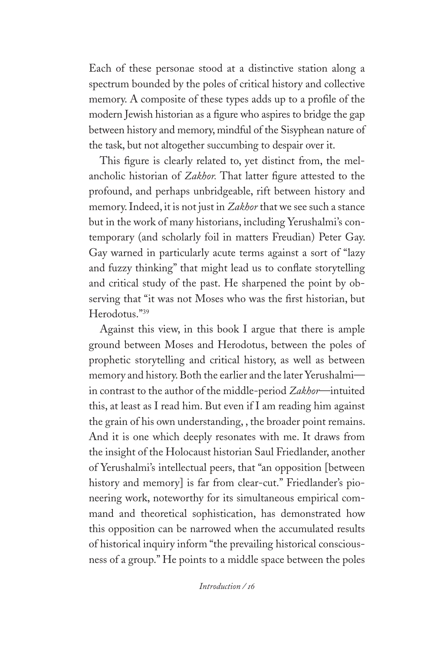Each of these personae stood at a distinctive station along a spectrum bounded by the poles of critical history and collective memory. A composite of these types adds up to a profile of the modern Jewish historian as a figure who aspires to bridge the gap between history and memory, mindful of the Sisyphean nature of the task, but not altogether succumbing to despair over it.

This figure is clearly related to, yet distinct from, the melancholic historian of *Zakhor.* That latter figure attested to the profound, and perhaps unbridgeable, rift between history and memory. Indeed, it is not just in *Zakhor* that we see such a stance but in the work of many historians, including Yerushalmi's contemporary (and scholarly foil in matters Freudian) Peter Gay. Gay warned in particularly acute terms against a sort of "lazy and fuzzy thinking" that might lead us to conflate storytelling and critical study of the past. He sharpened the point by observing that "it was not Moses who was the first historian, but Herodotus."39

Against this view, in this book I argue that there is ample ground between Moses and Herodotus, between the poles of prophetic storytelling and critical history, as well as between memory and history. Both the earlier and the later Yerushalmi in contrast to the author of the middle-period *Zakhor*—intuited this, at least as I read him. But even if I am reading him against the grain of his own understanding, , the broader point remains. And it is one which deeply resonates with me. It draws from the insight of the Holocaust historian Saul Friedlander, another of Yerushalmi's intellectual peers, that "an opposition [between history and memory] is far from clear-cut." Friedlander's pioneering work, noteworthy for its simultaneous empirical command and theoretical sophistication, has demonstrated how this opposition can be narrowed when the accumulated results of historical inquiry inform "the prevailing historical consciousness of a group." He points to a middle space between the poles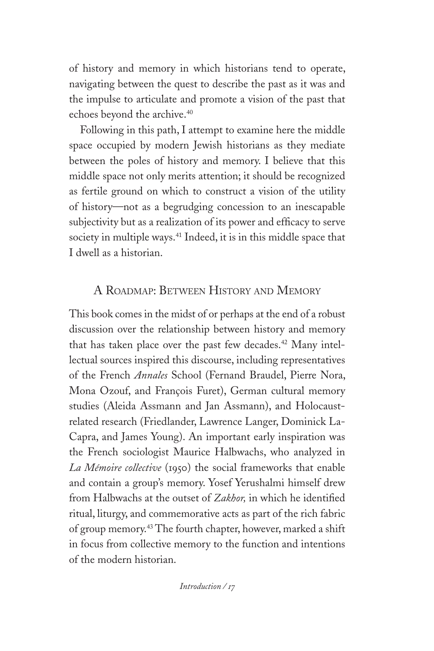of history and memory in which historians tend to operate, navigating between the quest to describe the past as it was and the impulse to articulate and promote a vision of the past that echoes beyond the archive.<sup>40</sup>

Following in this path, I attempt to examine here the middle space occupied by modern Jewish historians as they mediate between the poles of history and memory. I believe that this middle space not only merits attention; it should be recognized as fertile ground on which to construct a vision of the utility of history—not as a begrudging concession to an inescapable subjectivity but as a realization of its power and efficacy to serve society in multiple ways.<sup>41</sup> Indeed, it is in this middle space that I dwell as a historian.

### A Roadmap: Between History and Memory

This book comes in the midst of or perhaps at the end of a robust discussion over the relationship between history and memory that has taken place over the past few decades.<sup>42</sup> Many intellectual sources inspired this discourse, including representatives of the French *Annales* School (Fernand Braudel, Pierre Nora, Mona Ozouf, and François Furet), German cultural memory studies (Aleida Assmann and Jan Assmann), and Holocaustrelated research (Friedlander, Lawrence Langer, Dominick La-Capra, and James Young). An important early inspiration was the French sociologist Maurice Halbwachs, who analyzed in *La Mémoire collective* (1950) the social frameworks that enable and contain a group's memory. Yosef Yerushalmi himself drew from Halbwachs at the outset of *Zakhor,* in which he identified ritual, liturgy, and commemorative acts as part of the rich fabric of group memory.43 The fourth chapter, however, marked a shift in focus from collective memory to the function and intentions of the modern historian.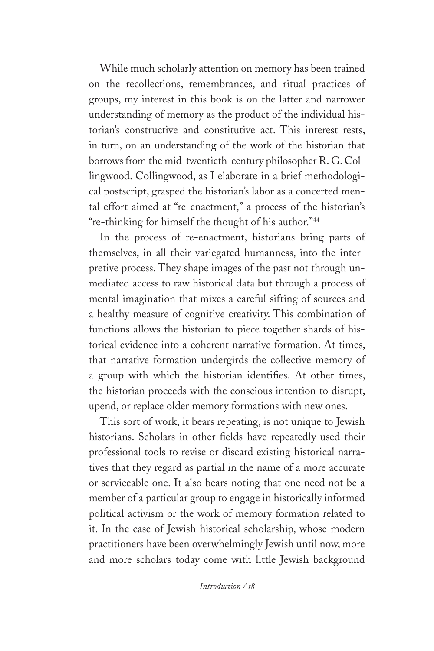While much scholarly attention on memory has been trained on the recollections, remembrances, and ritual practices of groups, my interest in this book is on the latter and narrower understanding of memory as the product of the individual historian's constructive and constitutive act. This interest rests, in turn, on an understanding of the work of the historian that borrows from the mid-twentieth-century philosopher R. G. Collingwood. Collingwood, as I elaborate in a brief methodological postscript, grasped the historian's labor as a concerted mental effort aimed at "re-enactment," a process of the historian's "re-thinking for himself the thought of his author."44

In the process of re-enactment, historians bring parts of themselves, in all their variegated humanness, into the interpretive process. They shape images of the past not through unmediated access to raw historical data but through a process of mental imagination that mixes a careful sifting of sources and a healthy measure of cognitive creativity. This combination of functions allows the historian to piece together shards of historical evidence into a coherent narrative formation. At times, that narrative formation undergirds the collective memory of a group with which the historian identifies. At other times, the historian proceeds with the conscious intention to disrupt, upend, or replace older memory formations with new ones.

This sort of work, it bears repeating, is not unique to Jewish historians. Scholars in other fields have repeatedly used their professional tools to revise or discard existing historical narratives that they regard as partial in the name of a more accurate or serviceable one. It also bears noting that one need not be a member of a particular group to engage in historically informed political activism or the work of memory formation related to it. In the case of Jewish historical scholarship, whose modern practitioners have been overwhelmingly Jewish until now, more and more scholars today come with little Jewish background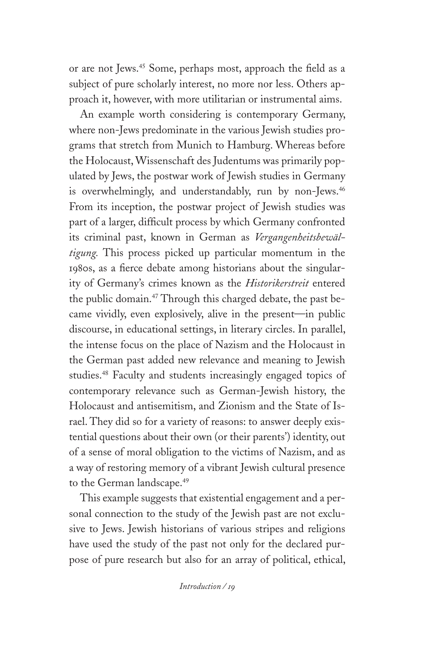or are not Jews.45 Some, perhaps most, approach the field as a subject of pure scholarly interest, no more nor less. Others approach it, however, with more utilitarian or instrumental aims.

An example worth considering is contemporary Germany, where non-Jews predominate in the various Jewish studies programs that stretch from Munich to Hamburg. Whereas before the Holocaust, Wissenschaft des Judentums was primarily populated by Jews, the postwar work of Jewish studies in Germany is overwhelmingly, and understandably, run by non-Jews.<sup>46</sup> From its inception, the postwar project of Jewish studies was part of a larger, difficult process by which Germany confronted its criminal past, known in German as *Vergangenheitsbewältigung.* This process picked up particular momentum in the 1980s, as a fierce debate among historians about the singularity of Germany's crimes known as the *Historikerstreit* entered the public domain.<sup>47</sup> Through this charged debate, the past became vividly, even explosively, alive in the present—in public discourse, in educational settings, in literary circles. In parallel, the intense focus on the place of Nazism and the Holocaust in the German past added new relevance and meaning to Jewish studies.48 Faculty and students increasingly engaged topics of contemporary relevance such as German-Jewish history, the Holocaust and antisemitism, and Zionism and the State of Israel. They did so for a variety of reasons: to answer deeply existential questions about their own (or their parents') identity, out of a sense of moral obligation to the victims of Nazism, and as a way of restoring memory of a vibrant Jewish cultural presence to the German landscape.<sup>49</sup>

This example suggests that existential engagement and a personal connection to the study of the Jewish past are not exclusive to Jews. Jewish historians of various stripes and religions have used the study of the past not only for the declared purpose of pure research but also for an array of political, ethical,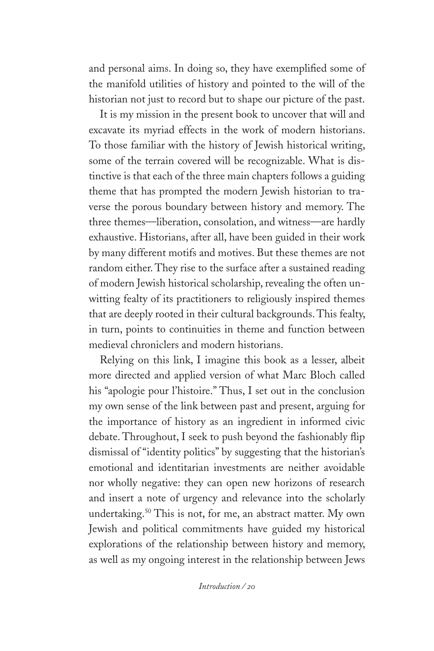and personal aims. In doing so, they have exemplified some of the manifold utilities of history and pointed to the will of the historian not just to record but to shape our picture of the past.

It is my mission in the present book to uncover that will and excavate its myriad effects in the work of modern historians. To those familiar with the history of Jewish historical writing, some of the terrain covered will be recognizable. What is distinctive is that each of the three main chapters follows a guiding theme that has prompted the modern Jewish historian to traverse the porous boundary between history and memory. The three themes—liberation, consolation, and witness—are hardly exhaustive. Historians, after all, have been guided in their work by many different motifs and motives. But these themes are not random either. They rise to the surface after a sustained reading of modern Jewish historical scholarship, revealing the often unwitting fealty of its practitioners to religiously inspired themes that are deeply rooted in their cultural backgrounds. This fealty, in turn, points to continuities in theme and function between medieval chroniclers and modern historians.

Relying on this link, I imagine this book as a lesser, albeit more directed and applied version of what Marc Bloch called his "apologie pour l'histoire." Thus, I set out in the conclusion my own sense of the link between past and present, arguing for the importance of history as an ingredient in informed civic debate. Throughout, I seek to push beyond the fashionably flip dismissal of "identity politics" by suggesting that the historian's emotional and identitarian investments are neither avoidable nor wholly negative: they can open new horizons of research and insert a note of urgency and relevance into the scholarly undertaking.50 This is not, for me, an abstract matter. My own Jewish and political commitments have guided my historical explorations of the relationship between history and memory, as well as my ongoing interest in the relationship between Jews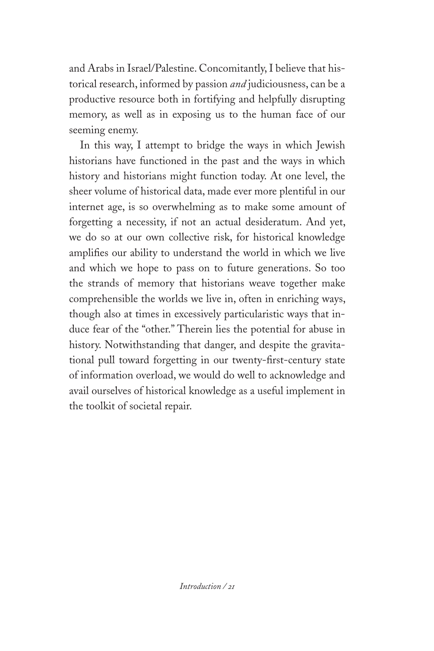and Arabs in Israel/Palestine. Concomitantly, I believe that historical research, informed by passion *and* judiciousness, can be a productive resource both in fortifying and helpfully disrupting memory, as well as in exposing us to the human face of our seeming enemy.

In this way, I attempt to bridge the ways in which Jewish historians have functioned in the past and the ways in which history and historians might function today. At one level, the sheer volume of historical data, made ever more plentiful in our internet age, is so overwhelming as to make some amount of forgetting a necessity, if not an actual desideratum. And yet, we do so at our own collective risk, for historical knowledge amplifies our ability to understand the world in which we live and which we hope to pass on to future generations. So too the strands of memory that historians weave together make comprehensible the worlds we live in, often in enriching ways, though also at times in excessively particularistic ways that induce fear of the "other." Therein lies the potential for abuse in history. Notwithstanding that danger, and despite the gravitational pull toward forgetting in our twenty-first-century state of information overload, we would do well to acknowledge and avail ourselves of historical knowledge as a useful implement in the toolkit of societal repair.